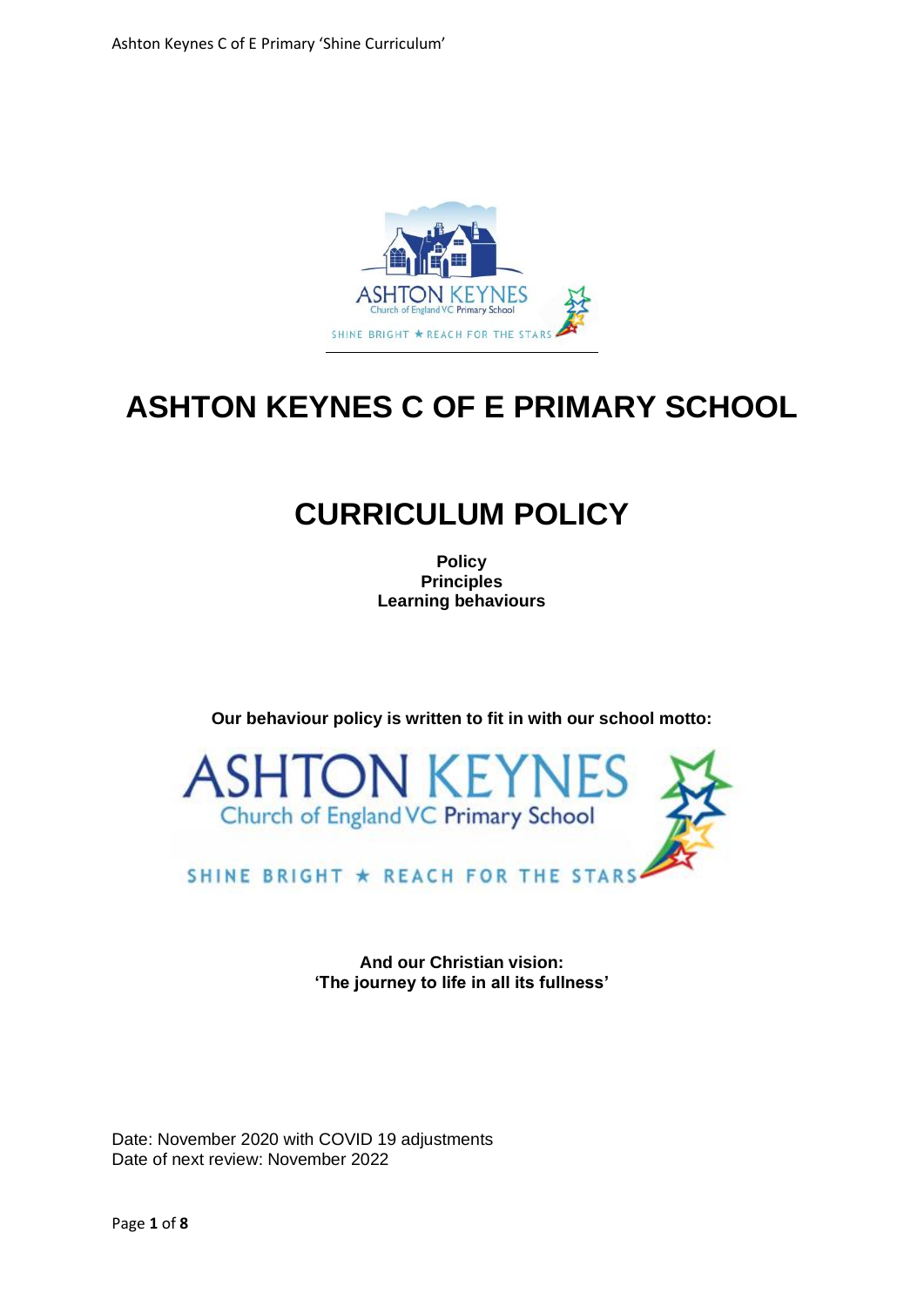

## **ASHTON KEYNES C OF E PRIMARY SCHOOL**

## **CURRICULUM POLICY**

**Policy Principles Learning behaviours** 

**Our behaviour policy is written to fit in with our school motto:**



SHINE BRIGHT ★ REACH FOR THE STARS

**And our Christian vision: 'The journey to life in all its fullness'**

Date: November 2020 with COVID 19 adjustments Date of next review: November 2022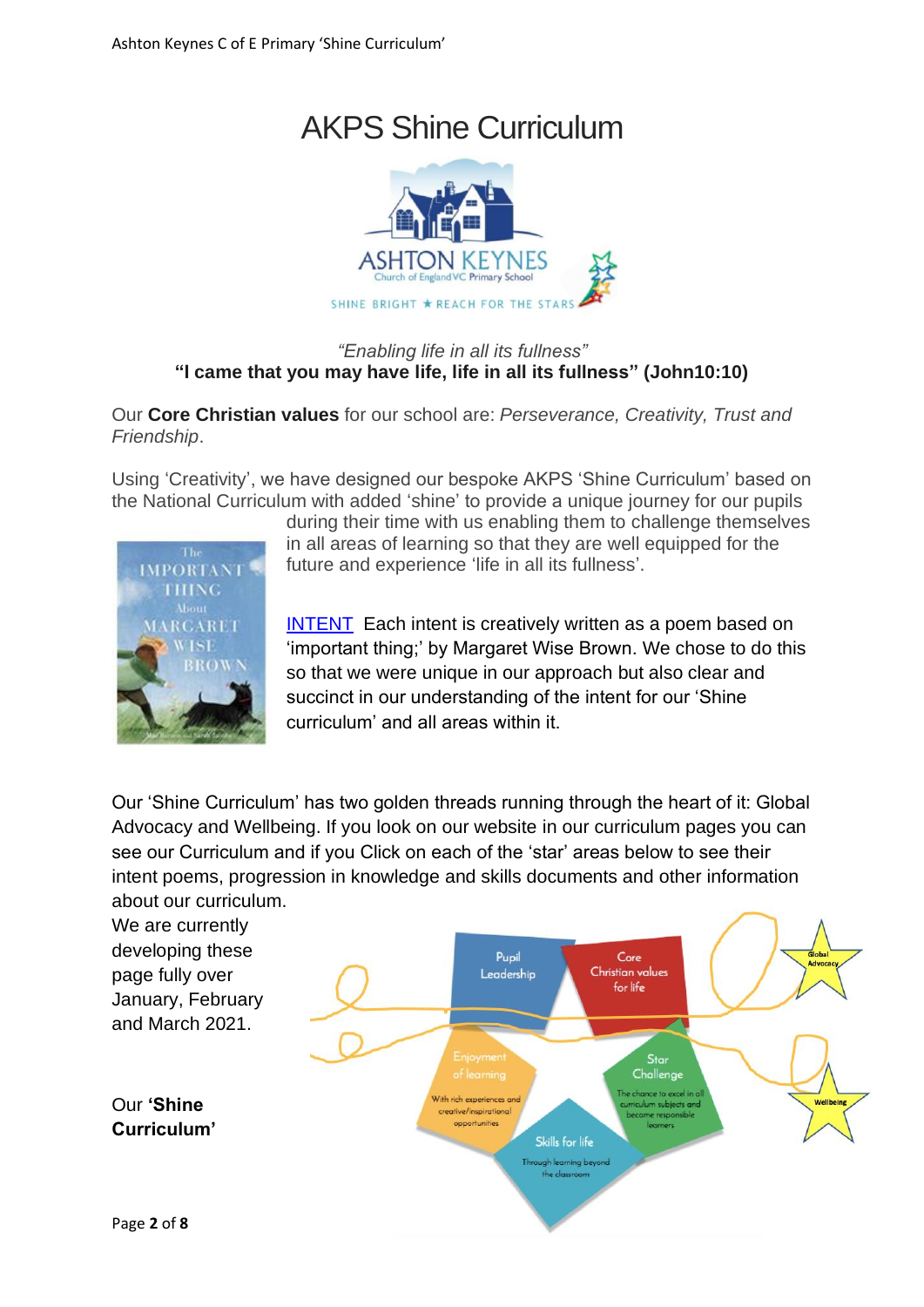# AKPS Shine Curriculum



### *"Enabling life in all its fullness"* **"I came that you may have life, life in all its fullness" (John10:10)**

Our **Core Christian values** for our school are: *Perseverance, Creativity, Trust and Friendship*.

Using 'Creativity', we have designed our bespoke AKPS 'Shine Curriculum' based on the National Curriculum with added 'shine' to provide a unique journey for our pupils



during their time with us enabling them to challenge themselves in all areas of learning so that they are well equipped for the future and experience 'life in all its fullness'.

[INTENT](http://www.akps.org.uk/wp-content/uploads/2020/05/Link-1-Intent.pdf) Each intent is creatively written as a poem based on 'important thing;' by Margaret Wise Brown. We chose to do this so that we were unique in our approach but also clear and succinct in our understanding of the intent for our 'Shine curriculum' and all areas within it.

Our 'Shine Curriculum' has two golden threads running through the heart of it: Global Advocacy and Wellbeing. If you look on our website in our curriculum pages you can see our Curriculum and if you Click on each of the 'star' areas below to see their intent poems, progression in knowledge and skills documents and other information about our curriculum.

We are currently developing these Pupil Core Christian values page fully over Leadership for life January, February and March 2021. Star Challenge he chance to excel With rich experiences and Our **'Shine**  ulum subjects and ative/inspirations opportunities **Curriculum'** Skills for life Through learning beyond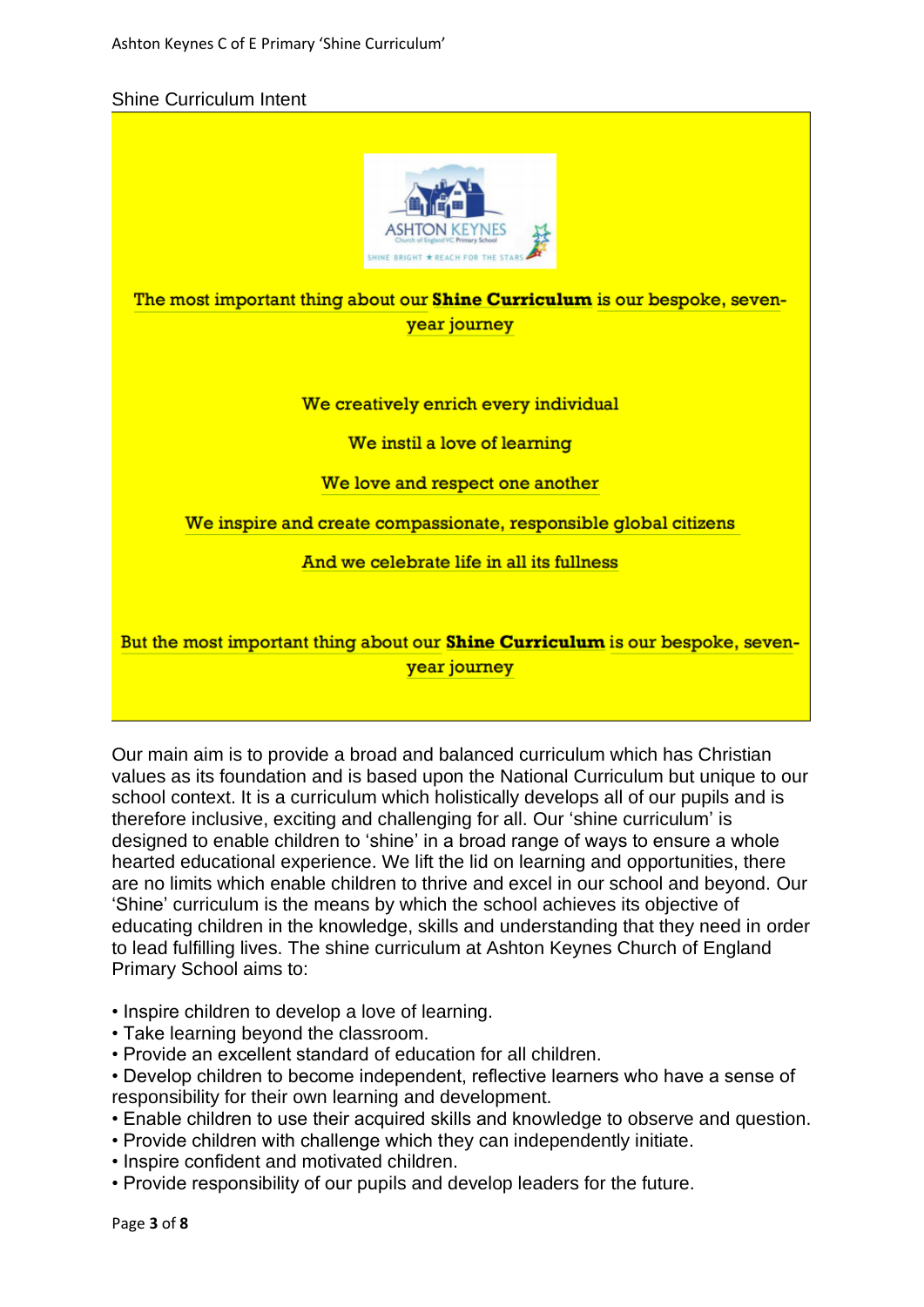#### Shine Curriculum Intent



The most important thing about our **Shine Curriculum** is our bespoke, sevenyear journey

#### We creatively enrich every individual

We instil a love of learning

#### We love and respect one another

We inspire and create compassionate, responsible global citizens

#### And we celebrate life in all its fullness

But the most important thing about our **Shine Curriculum** is our bespoke, sevenyear journey

Our main aim is to provide a broad and balanced curriculum which has Christian values as its foundation and is based upon the National Curriculum but unique to our school context. It is a curriculum which holistically develops all of our pupils and is therefore inclusive, exciting and challenging for all. Our 'shine curriculum' is designed to enable children to 'shine' in a broad range of ways to ensure a whole hearted educational experience. We lift the lid on learning and opportunities, there are no limits which enable children to thrive and excel in our school and beyond. Our 'Shine' curriculum is the means by which the school achieves its objective of educating children in the knowledge, skills and understanding that they need in order to lead fulfilling lives. The shine curriculum at Ashton Keynes Church of England Primary School aims to:

• Inspire children to develop a love of learning.

- Take learning beyond the classroom.
- Provide an excellent standard of education for all children.

• Develop children to become independent, reflective learners who have a sense of responsibility for their own learning and development.

- Enable children to use their acquired skills and knowledge to observe and question.
- Provide children with challenge which they can independently initiate.
- Inspire confident and motivated children.
- Provide responsibility of our pupils and develop leaders for the future.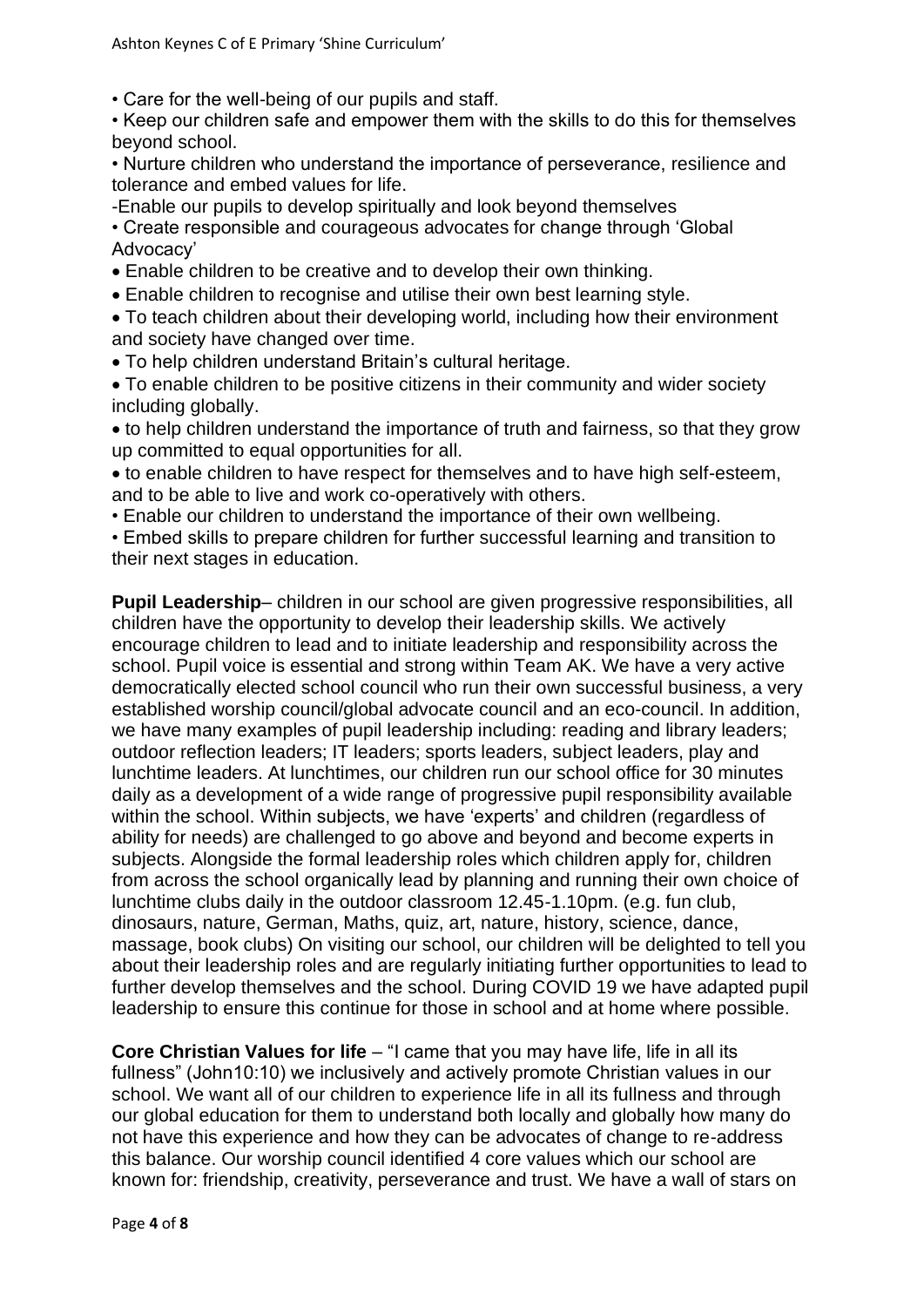• Care for the well-being of our pupils and staff.

• Keep our children safe and empower them with the skills to do this for themselves beyond school.

• Nurture children who understand the importance of perseverance, resilience and tolerance and embed values for life.

-Enable our pupils to develop spiritually and look beyond themselves

• Create responsible and courageous advocates for change through 'Global Advocacy'

- Enable children to be creative and to develop their own thinking.
- Enable children to recognise and utilise their own best learning style.

• To teach children about their developing world, including how their environment and society have changed over time.

• To help children understand Britain's cultural heritage.

• To enable children to be positive citizens in their community and wider society including globally.

• to help children understand the importance of truth and fairness, so that they grow up committed to equal opportunities for all.

• to enable children to have respect for themselves and to have high self-esteem, and to be able to live and work co-operatively with others.

• Enable our children to understand the importance of their own wellbeing.

• Embed skills to prepare children for further successful learning and transition to their next stages in education.

**Pupil Leadership**– children in our school are given progressive responsibilities, all children have the opportunity to develop their leadership skills. We actively encourage children to lead and to initiate leadership and responsibility across the school. Pupil voice is essential and strong within Team AK. We have a very active democratically elected school council who run their own successful business, a very established worship council/global advocate council and an eco-council. In addition, we have many examples of pupil leadership including: reading and library leaders; outdoor reflection leaders; IT leaders; sports leaders, subject leaders, play and lunchtime leaders. At lunchtimes, our children run our school office for 30 minutes daily as a development of a wide range of progressive pupil responsibility available within the school. Within subjects, we have 'experts' and children (regardless of ability for needs) are challenged to go above and beyond and become experts in subjects. Alongside the formal leadership roles which children apply for, children from across the school organically lead by planning and running their own choice of lunchtime clubs daily in the outdoor classroom 12.45-1.10pm. (e.g. fun club, dinosaurs, nature, German, Maths, quiz, art, nature, history, science, dance, massage, book clubs) On visiting our school, our children will be delighted to tell you about their leadership roles and are regularly initiating further opportunities to lead to further develop themselves and the school. During COVID 19 we have adapted pupil leadership to ensure this continue for those in school and at home where possible.

**Core Christian Values for life** – "I came that you may have life, life in all its fullness" (John10:10) we inclusively and actively promote Christian values in our school. We want all of our children to experience life in all its fullness and through our global education for them to understand both locally and globally how many do not have this experience and how they can be advocates of change to re-address this balance. Our worship council identified 4 core values which our school are known for: friendship, creativity, perseverance and trust. We have a wall of stars on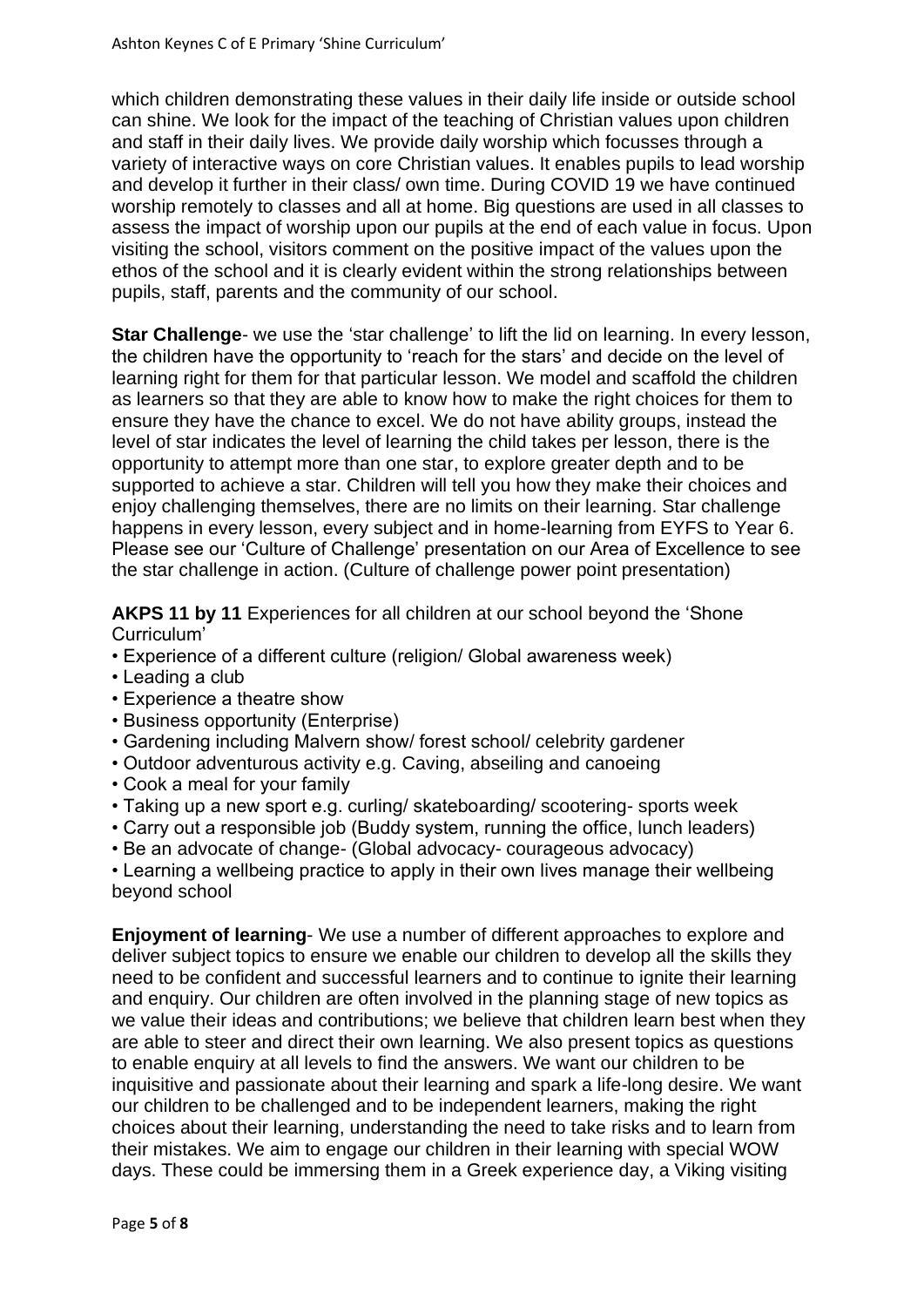which children demonstrating these values in their daily life inside or outside school can shine. We look for the impact of the teaching of Christian values upon children and staff in their daily lives. We provide daily worship which focusses through a variety of interactive ways on core Christian values. It enables pupils to lead worship and develop it further in their class/ own time. During COVID 19 we have continued worship remotely to classes and all at home. Big questions are used in all classes to assess the impact of worship upon our pupils at the end of each value in focus. Upon visiting the school, visitors comment on the positive impact of the values upon the ethos of the school and it is clearly evident within the strong relationships between pupils, staff, parents and the community of our school.

**Star Challenge**- we use the 'star challenge' to lift the lid on learning. In every lesson, the children have the opportunity to 'reach for the stars' and decide on the level of learning right for them for that particular lesson. We model and scaffold the children as learners so that they are able to know how to make the right choices for them to ensure they have the chance to excel. We do not have ability groups, instead the level of star indicates the level of learning the child takes per lesson, there is the opportunity to attempt more than one star, to explore greater depth and to be supported to achieve a star. Children will tell you how they make their choices and enjoy challenging themselves, there are no limits on their learning. Star challenge happens in every lesson, every subject and in home-learning from EYFS to Year 6. Please see our 'Culture of Challenge' presentation on our Area of Excellence to see the star challenge in action. (Culture of challenge power point presentation)

**AKPS 11 by 11** Experiences for all children at our school beyond the 'Shone Curriculum'

- Experience of a different culture (religion/ Global awareness week)
- Leading a club
- Experience a theatre show
- Business opportunity (Enterprise)
- Gardening including Malvern show/ forest school/ celebrity gardener
- Outdoor adventurous activity e.g. Caving, abseiling and canoeing
- Cook a meal for your family
- Taking up a new sport e.g. curling/ skateboarding/ scootering- sports week
- Carry out a responsible job (Buddy system, running the office, lunch leaders)
- Be an advocate of change- (Global advocacy- courageous advocacy)

• Learning a wellbeing practice to apply in their own lives manage their wellbeing beyond school

**Enjoyment of learning**- We use a number of different approaches to explore and deliver subject topics to ensure we enable our children to develop all the skills they need to be confident and successful learners and to continue to ignite their learning and enquiry. Our children are often involved in the planning stage of new topics as we value their ideas and contributions; we believe that children learn best when they are able to steer and direct their own learning. We also present topics as questions to enable enquiry at all levels to find the answers. We want our children to be inquisitive and passionate about their learning and spark a life-long desire. We want our children to be challenged and to be independent learners, making the right choices about their learning, understanding the need to take risks and to learn from their mistakes. We aim to engage our children in their learning with special WOW days. These could be immersing them in a Greek experience day, a Viking visiting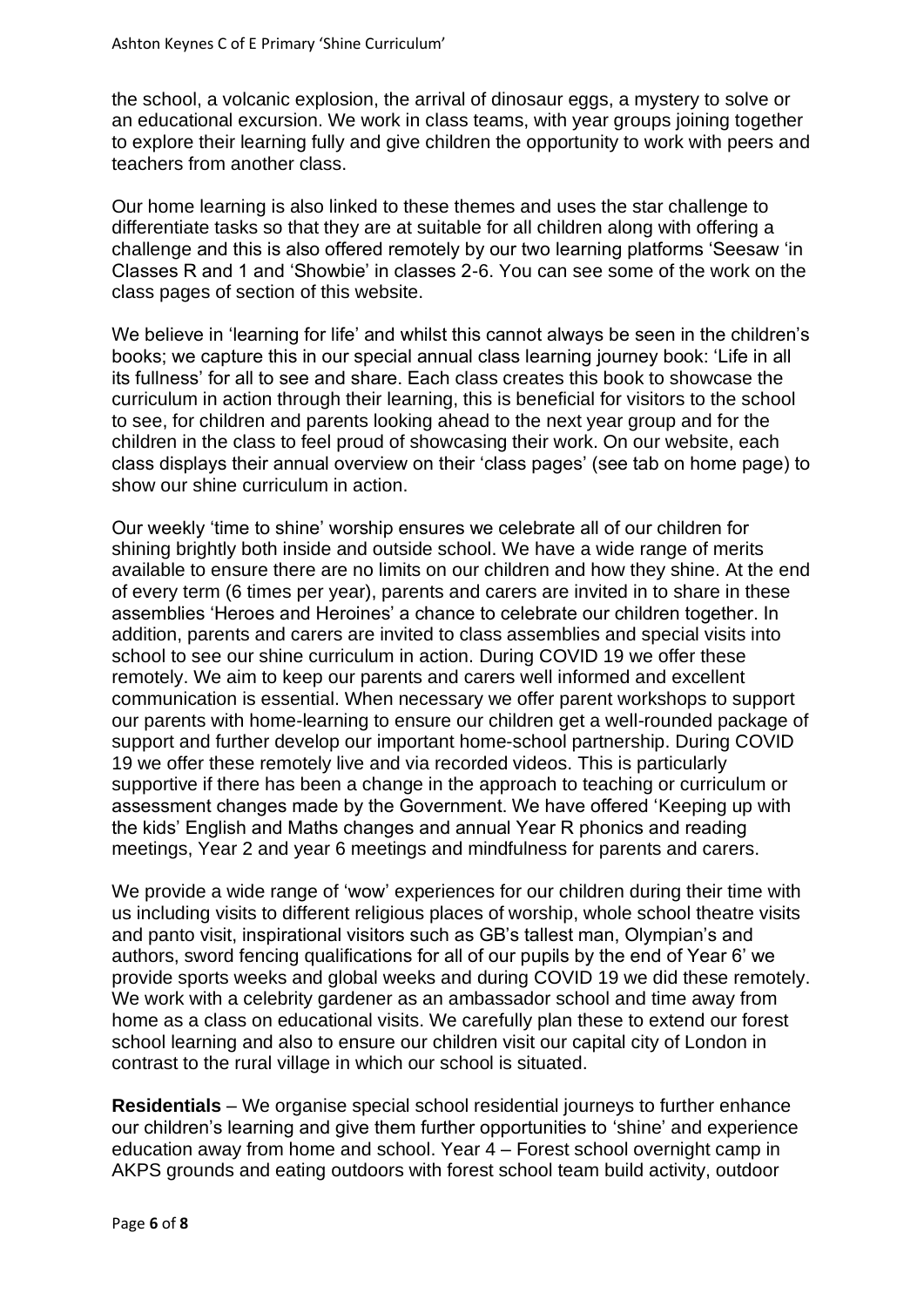the school, a volcanic explosion, the arrival of dinosaur eggs, a mystery to solve or an educational excursion. We work in class teams, with year groups joining together to explore their learning fully and give children the opportunity to work with peers and teachers from another class.

Our home learning is also linked to these themes and uses the star challenge to differentiate tasks so that they are at suitable for all children along with offering a challenge and this is also offered remotely by our two learning platforms 'Seesaw 'in Classes R and 1 and 'Showbie' in classes 2-6. You can see some of the work on the class pages of section of this website.

We believe in 'learning for life' and whilst this cannot always be seen in the children's books; we capture this in our special annual class learning journey book: 'Life in all its fullness' for all to see and share. Each class creates this book to showcase the curriculum in action through their learning, this is beneficial for visitors to the school to see, for children and parents looking ahead to the next year group and for the children in the class to feel proud of showcasing their work. On our website, each class displays their annual overview on their 'class pages' (see tab on home page) to show our shine curriculum in action.

Our weekly 'time to shine' worship ensures we celebrate all of our children for shining brightly both inside and outside school. We have a wide range of merits available to ensure there are no limits on our children and how they shine. At the end of every term (6 times per year), parents and carers are invited in to share in these assemblies 'Heroes and Heroines' a chance to celebrate our children together. In addition, parents and carers are invited to class assemblies and special visits into school to see our shine curriculum in action. During COVID 19 we offer these remotely. We aim to keep our parents and carers well informed and excellent communication is essential. When necessary we offer parent workshops to support our parents with home-learning to ensure our children get a well-rounded package of support and further develop our important home-school partnership. During COVID 19 we offer these remotely live and via recorded videos. This is particularly supportive if there has been a change in the approach to teaching or curriculum or assessment changes made by the Government. We have offered 'Keeping up with the kids' English and Maths changes and annual Year R phonics and reading meetings, Year 2 and year 6 meetings and mindfulness for parents and carers.

We provide a wide range of 'wow' experiences for our children during their time with us including visits to different religious places of worship, whole school theatre visits and panto visit, inspirational visitors such as GB's tallest man, Olympian's and authors, sword fencing qualifications for all of our pupils by the end of Year 6' we provide sports weeks and global weeks and during COVID 19 we did these remotely. We work with a celebrity gardener as an ambassador school and time away from home as a class on educational visits. We carefully plan these to extend our forest school learning and also to ensure our children visit our capital city of London in contrast to the rural village in which our school is situated.

**Residentials** – We organise special school residential journeys to further enhance our children's learning and give them further opportunities to 'shine' and experience education away from home and school. Year 4 – Forest school overnight camp in AKPS grounds and eating outdoors with forest school team build activity, outdoor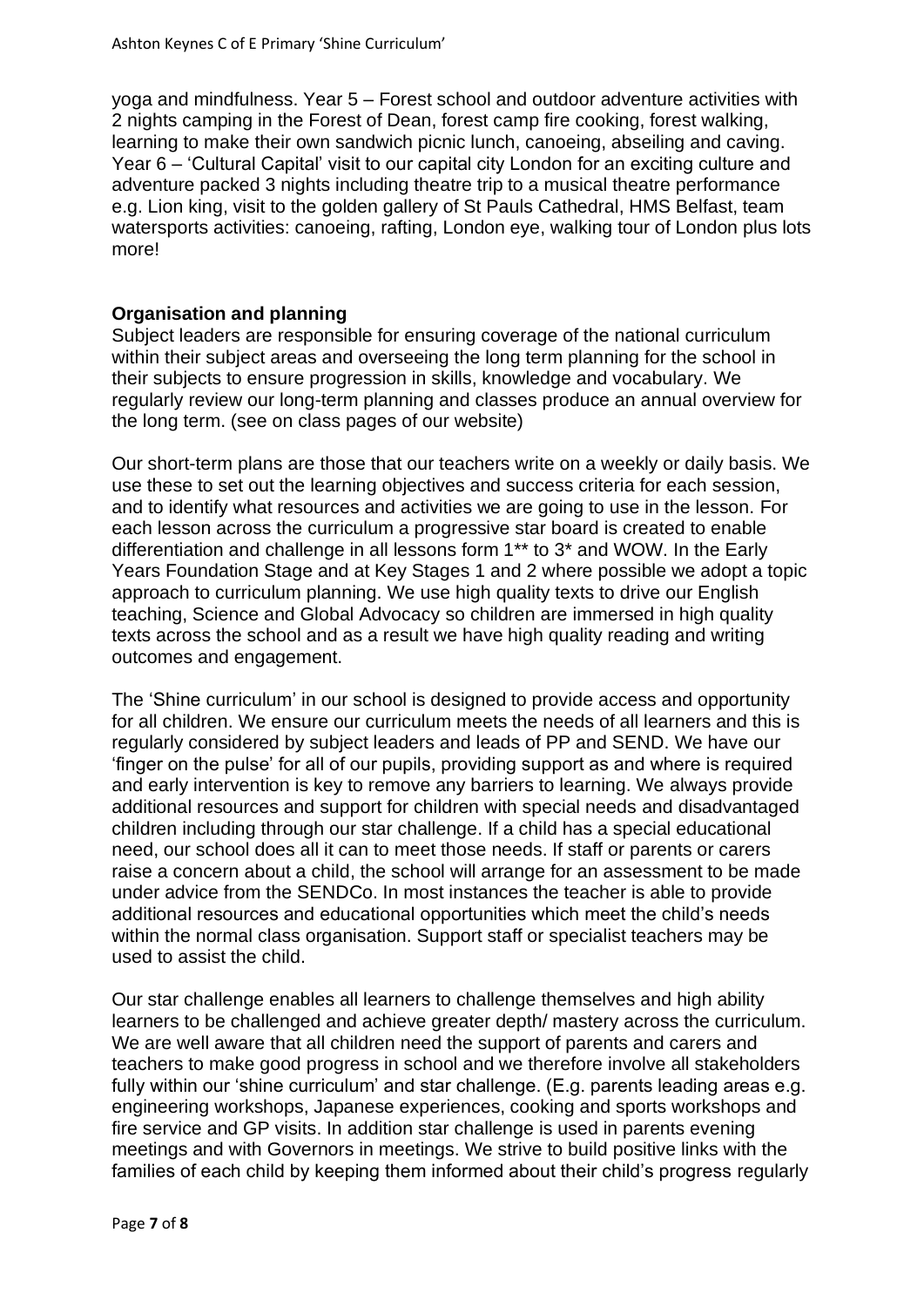yoga and mindfulness. Year 5 – Forest school and outdoor adventure activities with 2 nights camping in the Forest of Dean, forest camp fire cooking, forest walking, learning to make their own sandwich picnic lunch, canoeing, abseiling and caving. Year 6 – 'Cultural Capital' visit to our capital city London for an exciting culture and adventure packed 3 nights including theatre trip to a musical theatre performance e.g. Lion king, visit to the golden gallery of St Pauls Cathedral, HMS Belfast, team watersports activities: canoeing, rafting, London eye, walking tour of London plus lots more!

#### **Organisation and planning**

Subject leaders are responsible for ensuring coverage of the national curriculum within their subject areas and overseeing the long term planning for the school in their subjects to ensure progression in skills, knowledge and vocabulary. We regularly review our long-term planning and classes produce an annual overview for the long term. (see on class pages of our website)

Our short-term plans are those that our teachers write on a weekly or daily basis. We use these to set out the learning objectives and success criteria for each session, and to identify what resources and activities we are going to use in the lesson. For each lesson across the curriculum a progressive star board is created to enable differentiation and challenge in all lessons form 1\*\* to 3\* and WOW. In the Early Years Foundation Stage and at Key Stages 1 and 2 where possible we adopt a topic approach to curriculum planning. We use high quality texts to drive our English teaching, Science and Global Advocacy so children are immersed in high quality texts across the school and as a result we have high quality reading and writing outcomes and engagement.

The 'Shine curriculum' in our school is designed to provide access and opportunity for all children. We ensure our curriculum meets the needs of all learners and this is regularly considered by subject leaders and leads of PP and SEND. We have our 'finger on the pulse' for all of our pupils, providing support as and where is required and early intervention is key to remove any barriers to learning. We always provide additional resources and support for children with special needs and disadvantaged children including through our star challenge. If a child has a special educational need, our school does all it can to meet those needs. If staff or parents or carers raise a concern about a child, the school will arrange for an assessment to be made under advice from the SENDCo. In most instances the teacher is able to provide additional resources and educational opportunities which meet the child's needs within the normal class organisation. Support staff or specialist teachers may be used to assist the child.

Our star challenge enables all learners to challenge themselves and high ability learners to be challenged and achieve greater depth/ mastery across the curriculum. We are well aware that all children need the support of parents and carers and teachers to make good progress in school and we therefore involve all stakeholders fully within our 'shine curriculum' and star challenge. (E.g. parents leading areas e.g. engineering workshops, Japanese experiences, cooking and sports workshops and fire service and GP visits. In addition star challenge is used in parents evening meetings and with Governors in meetings. We strive to build positive links with the families of each child by keeping them informed about their child's progress regularly